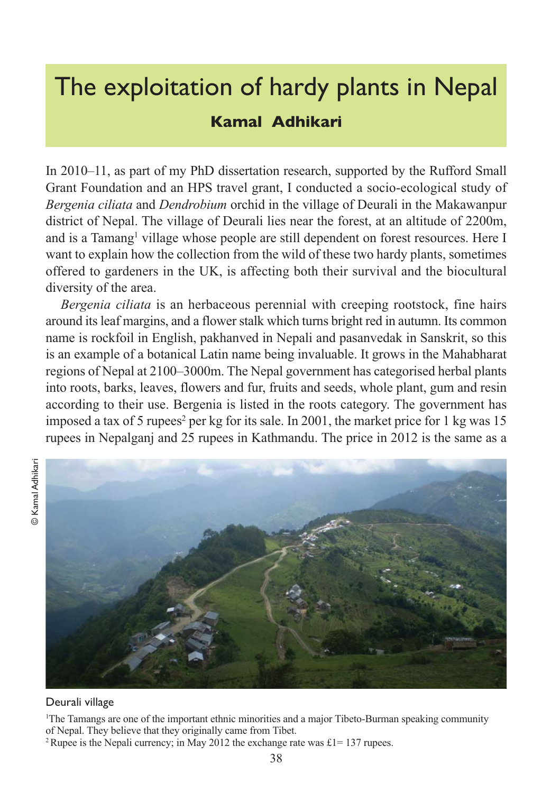## The exploitation of hardy plants in Nepal **Kamal Adhikari**

In 2010–11, as part of my PhD dissertation research, supported by the Rufford Small Grant Foundation and an HPS travel grant, I conducted a socio-ecological study of *Bergenia ciliata* and *Dendrobium* orchid in the village of Deurali in the Makawanpur district of Nepal. The village of Deurali lies near the forest, at an altitude of 2200m, and is a Tamang<sup>1</sup> village whose people are still dependent on forest resources. Here I want to explain how the collection from the wild of these two hardy plants, sometimes offered to gardeners in the UK, is affecting both their survival and the biocultural diversity of the area.

*Bergenia ciliata* is an herbaceous perennial with creeping rootstock, fine hairs around its leaf margins, and a flower stalk which turns bright red in autumn. Its common name is rockfoil in English, pakhanved in Nepali and pasanvedak in Sanskrit, so this is an example of a botanical Latin name being invaluable. It grows in the Mahabharat regions of Nepal at 2100–3000m. The Nepal government has categorised herbal plants into roots, barks, leaves, flowers and fur, fruits and seeds, whole plant, gum and resin according to their use. Bergenia is listed in the roots category. The government has imposed a tax of 5 rupees<sup>2</sup> per kg for its sale. In 2001, the market price for 1 kg was 15 rupees in Nepalganj and 25 rupees in Kathmandu. The price in 2012 is the same as a





## Deurali village

1 The Tamangs are one of the important ethnic minorities and a major Tibeto-Burman speaking community of Nepal. They believe that they originally came from Tibet.

<sup>2</sup> Rupee is the Nepali currency; in May 2012 the exchange rate was £1 = 137 rupees.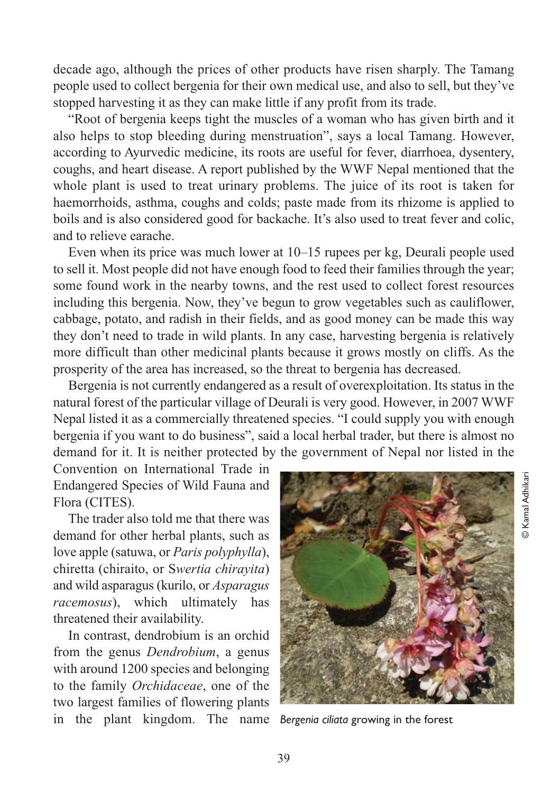decade ago, although the prices of other products have risen sharply. The Tamang people used to collect bergenia for their own medical use, and also to sell, but they've stopped harvesting it as they can make little if any profit from its trade.

"Root of bergenia keeps tight the muscles of a woman who has given birth and it also helps to stop bleeding during menstruation", says a local Tamang. However, according to Ayurvedic medicine, its roots are useful for fever, diarrhoea, dysentery, coughs, and heart disease. A report published by the WWF Nepal mentioned that the whole plant is used to treat urinary problems. The juice of its root is taken for haemorrhoids, asthma, coughs and colds; paste made from its rhizome is applied to boils and is also considered good for backache. It's also used to treat fever and colic, and to relieve earache.

Even when its price was much lower at 10–15 rupees per kg, Deurali people used to sell it. Most people did not have enough food to feed their families through the year; some found work in the nearby towns, and the rest used to collect forest resources including this bergenia. Now, they've begun to grow vegetables such as cauliflower, cabbage, potato, and radish in their fields, and as good money can be made this way they don't need to trade in wild plants. In any case, harvesting bergenia is relatively more difficult than other medicinal plants because it grows mostly on cliffs. As the prosperity of the area has increased, so the threat to bergenia has decreased.

Bergenia is not currently endangered as a result of overexploitation. Its status in the natural forest of the particular village of Deurali is very good. However, in 2007 WWF Nepal listed it as a commercially threatened species. "I could supply you with enough bergenia if you want to do business", said a local herbal trader, but there is almost no demand for it. It is neither protected by the government of Nepal nor listed in the

Convention on International Trade in Endangered Species of Wild Fauna and Flora (CITES).

The trader also told me that there was demand for other herbal plants, such as love apple (satuwa, or *Paris polyphylla*), chiretta (chiraito, or S*wertia chirayita*) and wild asparagus (kurilo, or *Asparagus racemosus*), which ultimately has threatened their availability.

In contrast, dendrobium is an orchid from the genus *Dendrobium*, a genus with around 1200 species and belonging to the family *Orchidaceae*, one of the two largest families of flowering plants in the plant kingdom. The name *Bergenia ciliata* growing in the forest

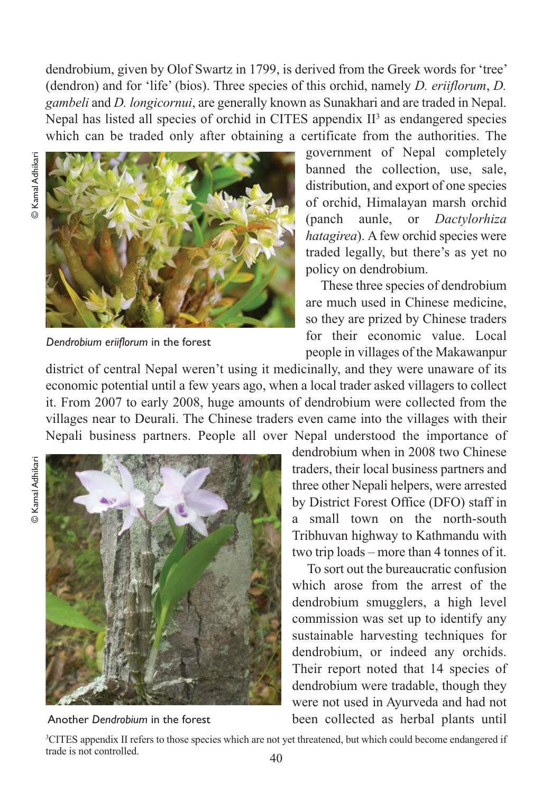dendrobium, given by Olof Swartz in 1799, is derived from the Greek words for 'tree' (dendron) and for 'life' (bios). Three species of this orchid, namely *D. eriiflorum*, *D. gambeli* and *D. longicornui*, are generally known as Sunakhari and are traded in Nepal. Nepal has listed all species of orchid in CITES appendix  $II<sup>3</sup>$  as endangered species which can be traded only after obtaining a certificate from the authorities. The



*Dendrobium eriiflorum* in the forest

government of Nepal completely banned the collection, use, sale, distribution, and export of one species of orchid, Himalayan marsh orchid (panch aunle, or *Dactylorhiza hatagirea*). A few orchid species were traded legally, but there's as yet no policy on dendrobium.

These three species of dendrobium are much used in Chinese medicine, so they are prized by Chinese traders for their economic value. Local people in villages of the Makawanpur

district of central Nepal weren't using it medicinally, and they were unaware of its economic potential until a few years ago, when a local trader asked villagers to collect it. From 2007 to early 2008, huge amounts of dendrobium were collected from the villages near to Deurali. The Chinese traders even came into the villages with their Nepali business partners. People all over Nepal understood the importance of



Another *Dendrobium* in the forest

dendrobium when in 2008 two Chinese traders, their local business partners and three other Nepali helpers, were arrested by District Forest Office (DFO) staff in a small town on the north-south Tribhuvan highway to Kathmandu with two trip loads – more than 4 tonnes of it.

To sort out the bureaucratic confusion which arose from the arrest of the dendrobium smugglers, a high level commission was set up to identify any sustainable harvesting techniques for dendrobium, or indeed any orchids. Their report noted that 14 species of dendrobium were tradable, though they were not used in Ayurveda and had not been collected as herbal plants until

3 CITES appendix II refers to those species which are not yet threatened, but which could become endangered if trade is not controlled.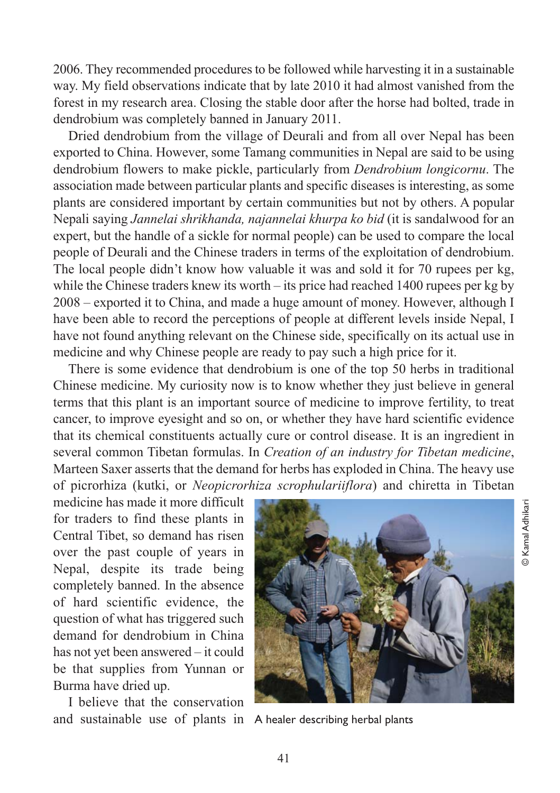2006. They recommended procedures to be followed while harvesting it in a sustainable way. My field observations indicate that by late 2010 it had almost vanished from the forest in my research area. Closing the stable door after the horse had bolted, trade in dendrobium was completely banned in January 2011.

Dried dendrobium from the village of Deurali and from all over Nepal has been exported to China. However, some Tamang communities in Nepal are said to be using dendrobium flowers to make pickle, particularly from *Dendrobium longicornu*. The association made between particular plants and specific diseases is interesting, as some plants are considered important by certain communities but not by others. A popular Nepali saying *Jannelai shrikhanda, najannelai khurpa ko bid* (it is sandalwood for an expert, but the handle of a sickle for normal people) can be used to compare the local people of Deurali and the Chinese traders in terms of the exploitation of dendrobium. The local people didn't know how valuable it was and sold it for 70 rupees per kg, while the Chinese traders knew its worth – its price had reached 1400 rupees per kg by 2008 – exported it to China, and made a huge amount of money. However, although I have been able to record the perceptions of people at different levels inside Nepal, I have not found anything relevant on the Chinese side, specifically on its actual use in medicine and why Chinese people are ready to pay such a high price for it.

There is some evidence that dendrobium is one of the top 50 herbs in traditional Chinese medicine. My curiosity now is to know whether they just believe in general terms that this plant is an important source of medicine to improve fertility, to treat cancer, to improve eyesight and so on, or whether they have hard scientific evidence that its chemical constituents actually cure or control disease. It is an ingredient in several common Tibetan formulas. In *Creation of an industry for Tibetan medicine*, Marteen Saxer asserts that the demand for herbs has exploded in China. The heavy use of picrorhiza (kutki, or *Neopicrorhiza scrophulariiflora*) and chiretta in Tibetan

medicine has made it more difficult for traders to find these plants in Central Tibet, so demand has risen over the past couple of years in Nepal, despite its trade being completely banned. In the absence of hard scientific evidence, the question of what has triggered such demand for dendrobium in China has not yet been answered – it could be that supplies from Yunnan or Burma have dried up.

I believe that the conservation and sustainable use of plants in A healer describing herbal plants